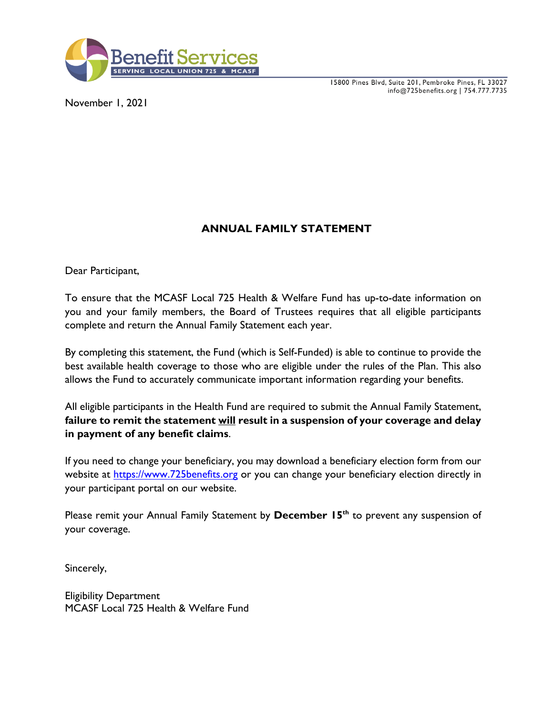

15800 Pines Blvd, Suite 201, Pembroke Pines, FL 33027 info@725benefits.org | 754.777.7735

November 1, 2021

## **ANNUAL FAMILY STATEMENT**

Dear Participant,

To ensure that the MCASF Local 725 Health & Welfare Fund has up-to-date information on you and your family members, the Board of Trustees requires that all eligible participants complete and return the Annual Family Statement each year.

By completing this statement, the Fund (which is Self-Funded) is able to continue to provide the best available health coverage to those who are eligible under the rules of the Plan. This also allows the Fund to accurately communicate important information regarding your benefits.

All eligible participants in the Health Fund are required to submit the Annual Family Statement, **failure to remit the statement will result in a suspension of your coverage and delay in payment of any benefit claims**.

If you need to change your beneficiary, you may download a beneficiary election form from our website at [https://www.725benefits.org](https://www.725benefits.org/) or you can change your beneficiary election directly in your participant portal on our website.

Please remit your Annual Family Statement by **December 15<sup>th</sup>** to prevent any suspension of your coverage.

Sincerely,

Eligibility Department MCASF Local 725 Health & Welfare Fund